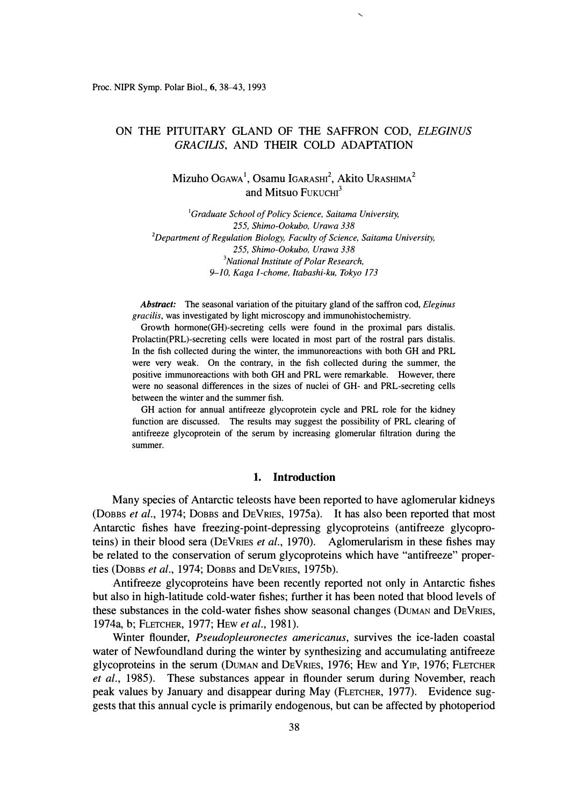# ON THE PITUITARY GLAND OF THE SAFFRON COD, *ELEGINUS GRACIL/S,* AND THEIR COLD ADAPTATION

Mizuho Ogawa<sup>1</sup>, Osamu Igarashi<sup>2</sup>, Akito Urashima<sup>2</sup> and Mitsuo  $F$ UKUCHI $3$ 

*<sup>1</sup>Graduate School of Policy Science, Saitama University,*  255, *Shimo-Ookubo, Urawa 338 <sup>2</sup>Department of Regulation Biology, Faculty of Science, Saitama University,*  255, *Shimo-Ookubo, Urawa 338 <sup>3</sup>National Institute of Polar Research, 9-10, Kaga 1-chome, Itabashi-ku, Tokyo 173* 

*Abstract:* The seasonal variation of the pituitary gland of the saffron cod, *Eleginus gracilis,* was investigated by light microscopy and immunohistochemistry.

Growth hormone(GH)-secreting cells were found in the proximal pars distalis. Prolactin(PRL)-secreting cells were located in most part of the rostral pars distalis. In the fish collected during the winter, the immunoreactions with both GH and PRL were very weak. On the contrary, in the fish collected during the summer, the positive immunoreactions with both GH and PRL were remarkable. However, there were no seasonal differences in the sizes of nuclei of GH- and PRL-secreting cells between the winter and the summer fish.

GH action for annual antifreeze glycoprotein cycle and PRL role for the kidney function are discussed. The results may suggest the possibility of PRL clearing of antifreeze glycoprotein of the serum by increasing glomerular filtration during the summer.

### **1. Introduction**

Many species of Antarctic teleosts have been reported to have aglomerular kidneys (DOBBS *et al.,* 1974; DoBBS and DEVRIES, 1975a). It has also been reported that most Antarctic fishes have freezing-point-depressing glycoproteins (antifreeze glycoproteins) in their blood sera (DEVRIES *et al.,* 1970). Aglomerularism in these fishes may be related to the conservation of serum glycoproteins which have "antifreeze" properties (DOBBS *et al.,* 1974; DOBBS and DEVRIES, 1975b).

Antifreeze glycoproteins have been recently reported not only in Antarctic fishes but also in high-latitude cold-water fishes; further it has been noted that blood levels of these substances in the cold-water fishes show seasonal changes (DUMAN and DEVRIES, 1974a, b; FLETCHER, 1977; HEW *et al.,* 1981).

Winter flounder, *Pseudopleuronectes americanus,* survives the ice-laden coastal water of Newfoundland during the winter by synthesizing and accumulating antifreeze glycoproteins in the serum (DUMAN and DEVRIES, 1976; HEw and YIP, 1976; FLETCHER *et al.,* 1985). These substances appear in flounder serum during November, reach peak values by January and disappear during May (FLETCHER, 1977). Evidence suggests that this annual cycle is primarily endogenous, but can be affected by photoperiod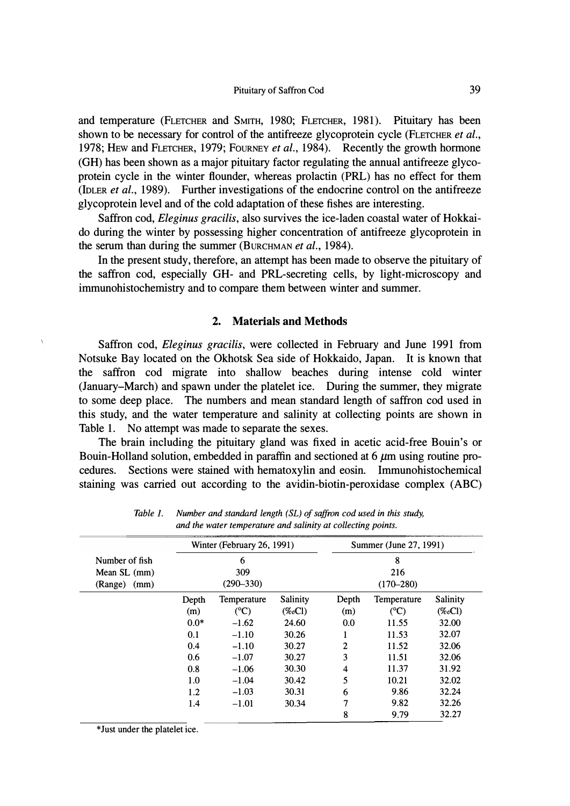## *Pituitary of Saffron Cod* 39

and temperature (FLETCHER and SMITH, 1980; FLETCHER, 1981). Pituitary has been shown to be necessary for control of the antifreeze glycoprotein cycle (FLETCHER *et al.,*  1978; HEW and FLETCHER, 1979; FouRNEY *et al.,* 1984). Recently the growth hormone (GH) has been shown as a major pituitary factor regulating the annual antifreeze glycoprotein cycle in the winter flounder, whereas prolactin **(PRL)** has no effect for them (IDLER *et al.,* 1989). Further investigations of the endocrine control on the antifreeze glycoprotein level and of the cold adaptation of these fishes are interesting.

Saffron cod, *Eleginus gracilis,* also survives the ice-laden coastal water of Hokkaido during the winter by possessing higher concentration of antifreeze glycoprotein in the serum than during the summer (BuRCHMAN *et al.,* 1984).

In the present study, therefore, an attempt has been made to observe the pituitary of the saffron cod, especially GH- and PRL-secreting cells, by light-microscopy and immunohistochemistry and to compare them between winter and summer.

### **2. Materials and Methods**

Saffron cod, *Eleginus gracilis,* were collected in February and June 1991 from Notsuke Bay located on the Okhotsk Sea side of Hokkaido, Japan. It is known that the saffron cod migrate into shallow beaches during intense cold winter (January-March) and spawn under the platelet ice. During the summer, they migrate to some deep place. The numbers and mean standard length of saffron cod used in this study, and the water temperature and salinity at collecting points are shown in Table 1. No attempt was made to separate the sexes.

The brain including the pituitary gland was fixed in acetic acid-free Bouin's or Bouin-Holland solution, embedded in paraffin and sectioned at  $6 \mu m$  using routine procedures. Sections were stained with hematoxylin and eosin. Immunohistochemical staining was carried out according to the avidin-biotin-peroxidase complex (ABC)

|                | Winter (February 26, 1991)<br>6 |               |           | Summer (June 27, 1991)<br>8 |                |           |
|----------------|---------------------------------|---------------|-----------|-----------------------------|----------------|-----------|
| Number of fish |                                 |               |           |                             |                |           |
| Mean $SL$ (mm) | 309                             |               |           | 216                         |                |           |
| (Range) (mm)   | $(290 - 330)$                   |               |           | $(170 - 280)$               |                |           |
|                | Depth                           | Temperature   | Salinity  | Depth                       | Temperature    | Salinity  |
|                | (m)                             | $(^{\circ}C)$ | $(\%oCl)$ | (m)                         | $(C^{\circ}C)$ | $(\%oCl)$ |
|                | $0.0*$                          | $-1.62$       | 24.60     | 0.0                         | 11.55          | 32.00     |
|                | 0.1                             | $-1.10$       | 30.26     |                             | 11.53          | 32.07     |
|                | 0.4                             | $-1.10$       | 30.27     | 2                           | 11.52          | 32.06     |
|                | 0.6                             | $-1.07$       | 30.27     | 3                           | 11.51          | 32.06     |
|                | 0.8                             | $-1.06$       | 30.30     | 4                           | 11.37          | 31.92     |
|                | 1.0                             | $-1.04$       | 30.42     | 5                           | 10.21          | 32.02     |
|                | 1.2                             | $-1.03$       | 30.31     | 6                           | 9.86           | 32.24     |
|                | 1.4                             | $-1.01$       | 30.34     | 7                           | 9.82           | 32.26     |
|                |                                 |               |           | 8                           | 9.79           | 32.27     |

*Table 1. Number and standard length ( SL) of saffron cod used in this study, and the water temperature and salinity at collecting points.* 

*\*Just under the platelet ice.*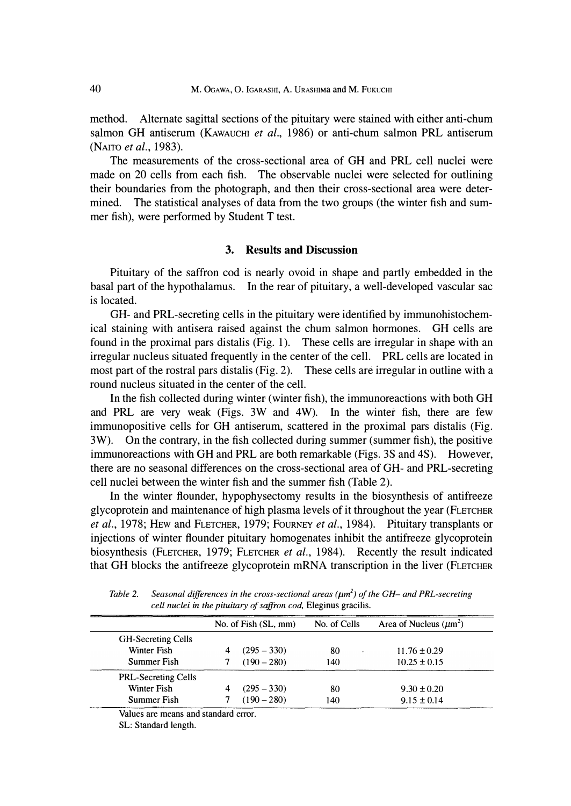**method. Alternate sagittal sections of the pituitary were stained with either anti-chum**  salmon GH antiserum (KAwAUCHI et al., 1986) or anti-chum salmon PRL antiserum **(NAITO** *et al.,* **1983).** 

**The measurements of the cross-sectional area of GH and PRL cell nuclei were made on 20 cells from each fish. The observable nuclei were selected for outlining their boundaries from the photograph, and then their cross-sectional area were determined. The statistical analyses of data from the two groups (the winter fish and summer fish), were performed by Student T test.** 

#### **3. Results and Discussion**

**Pituitary of the saffron cod is nearly ovoid in shape and partly embedded in the basal part of the hypothalamus. In the rear of pituitary, a well-developed vascular sac is located.** 

**GH- and PRL-secreting cells in the pituitary were identified by immunohistochemical staining with antisera raised against the chum salmon hormones. GH cells are found in the proximal pars distalis (Fig. 1). These cells are irregular in shape with an irregular nucleus situated frequently in the center of the cell. PRL cells are located in most part of the rostral pars distalis (Fig. 2). These cells are irregular in outline with a round nucleus situated in the center of the cell.** 

**In the fish collected during winter (winter fish), the immunoreactions with both GH and PRL are very weak (Figs. 3W and 4W). In the winter fish, there are few immunopositive cells for GH antiserum, scattered in the proximal pars distalis (Fig. 3W). On the contrary, in the fish collected during summer (summer fish), the positive immunoreactions with GH and PRL are both remarkable (Figs. 3S and 4S). However, there are no seasonal differences on the cross-sectional area of GH- and PRL-secreting cell nuclei between the winter fish and the summer fish (Table 2).** 

**In the winter flounder, hypophysectomy results in the biosynthesis of antifreeze glycoprotein and maintenance of high plasma levels of it throughout the year (FLETCHER**  *et al.,* **1978; HEw and FLETCHER, 1979; FouRNEY** *et al.,* **1984). Pituitary transplants or injections of winter flounder pituitary homogenates inhibit the antifreeze glycoprotein biosynthesis (FLETCHER, 1979; FLETCHER** *et al.,* **1984). Recently the result indicated that GH blocks the antifreeze glycoprotein mRNA transcription in the liver (FLETCHER** 

|                            | No. of Fish (SL, mm) | No. of Cells | Area of Nucleus $(\mu m^2)$ |  |
|----------------------------|----------------------|--------------|-----------------------------|--|
| <b>GH-Secreting Cells</b>  |                      |              |                             |  |
| Winter Fish                | $(295 - 330)$        | 80           | $11.76 \pm 0.29$            |  |
| Summer Fish                | $(190 - 280)$        | 140          | $10.25 \pm 0.15$            |  |
| <b>PRL-Secreting Cells</b> |                      |              |                             |  |
| Winter Fish                | $(295 - 330)$        | 80           | $9.30 \pm 0.20$             |  |
| Summer Fish                | $(190 - 280)$        | 140          | $9.15 \pm 0.14$             |  |
|                            |                      |              |                             |  |

*Table* 2. *Seasonal differences in the cross-sectional areas (µm<sup>2</sup> ) of the GH- and PRL-secreting cell nuclei in the pituitary of saffron cod,* Eleginus gracilis.

Values are means and standard error.

SL: Standard length.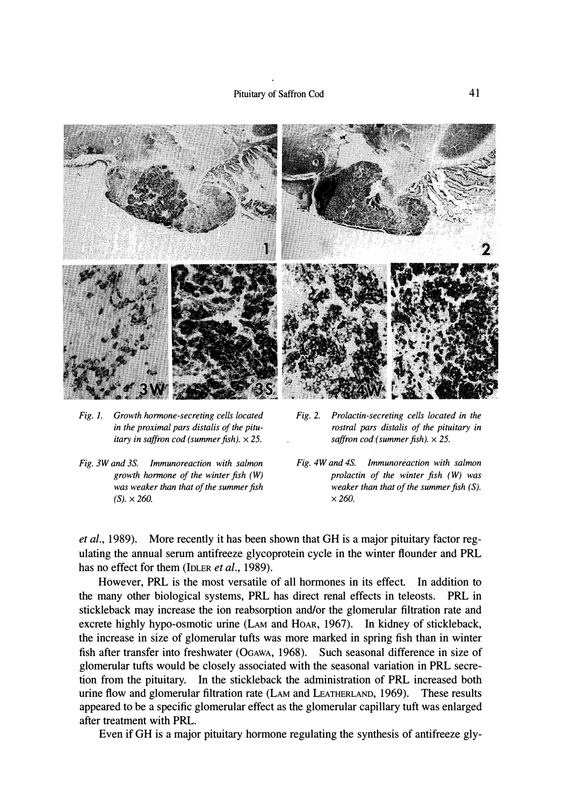

- *Fig. 1. Growth hormone-secreting cells located in the proximal pars distalis of the pituitary in saffron cod ( summer fish).* x *25.*
- *Fig. 3W and 3S. Immunoreaction with salmon growth hormone of the winter fish (W) was weaker than that of the summer fish*   $(S) \times 260.$

*Fig. 2. Prolactin-secreting cells located in the rostral pars distalis of the pituitary in saffron cod( summer fish).* x *25.* 

*Fig. 4W and 4S. Immunoreaction with salmon prolactin of the winter fish (W) was weaker than that of the summer fish (S). x260.* 

*et al.,* 1989). More recently it has been shown that GH is a major pituitary factor regulating the annual serum antifreeze glycoprotein cycle in the winter flounder and PRL has no effect for them (IDLER *et al.,* 1989).

However, PRL is the most versatile of all hormones in its effect. In addition to the many other biological systems, PRL has direct renal effects in teleosts. PRL in stickleback may increase the ion reabsorption and/or the glomerular filtration rate and excrete highly hypo-osmotic urine (LAM and HOAR, 1967). In kidney of stickleback, the increase in size of glomerular tufts was more marked in spring fish than in winter fish after transfer into freshwater (OGAWA, 1968). Such seasonal difference in size of glomerular tufts would be closely associated with the seasonal variation in PRL secretion from the pituitary. In the stickleback the administration of PRL increased both urine flow and glomerular filtration rate (LAM and LEATHERLAND, 1969). These results appeared to be a specific glomerular effect as the glomerular capillary tuft was enlarged after treatment with PRL.

Even ifGH is a major pituitary hormone regulating the synthesis of antifreeze gly-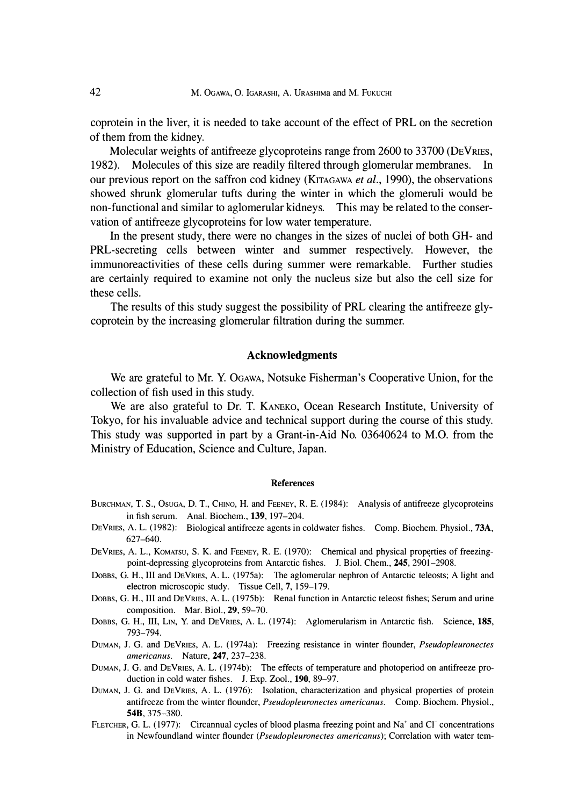**coprotein in the liver, it is needed to take account of the effect of PRL on the secretion of them from the kidney.** 

**Molecular weights of antifreeze glycoproteins range from 2600 to 33700 (DEVRIES, 1982). Molecules of this size are readily filtered through glomerular membranes. In our previous report on the saffron cod kidney (KITAGAWA** *et al.,* **1990), the observations showed shrunk glomerular tufts during the winter in which the glomeruli would be non-functional and similar to aglomerular kidneys. This may be related to the conservation of antifreeze glycoproteins for low water temperature.** 

**In the present study, there were no changes in the sizes of nuclei of both GH- and PRL-secreting cells between winter and summer respectively. However, the immunoreactivities of these cells during summer were remarkable. Further studies are certainly required to examine not only the nucleus size but also the cell size for these cells.** 

**The results of this study suggest the possibility of PRL clearing the antifreeze glycoprotein by the increasing glomerular filtration during the summer.** 

## **Acknowledgments**

**We are grateful to Mr. Y. OGAWA, Notsuke Fisherman's Cooperative Union, for the collection of fish used in this study.** 

**We are also grateful to Dr. T. KANEKO, Ocean Research Institute, University of Tokyo, for his invaluable advice and technical support during the course of this study. This study was supported in part by a Grant-in-Aid No. 03640624 to M.O. from the Ministry of Education, Science and Culture, Japan.** 

#### *References*

- BURCHMAN, T. S., Osuga, D. T., CHINO, H. and FEENEY, R. E. (1984): Analysis of antifreeze glycoproteins in fish serum. Anal. Biochem., *139,* 197-204.
- DEVRIES, A. L. (1982): Biological antifreeze agents in coldwater fishes. Comp. Biochem. Physiol., 73A, 627-640.
- DEVRIES, A. L., KOMATSU, S. K. and FEENEY, R. E. (1970): Chemical and physical properties of freezingpoint-depressing glycoproteins from Antarctic fishes. J. Biol. Chem., *245,* 2901-2908.
- DOBBS, G. H., III and DEVRIES, A. L. (1975a): The aglomerular nephron of Antarctic teleosts; A light and electron microscopic study. Tissue Cell, 7, 159-179.
- DOBBS, G. H., III and DEVRIES, A. L. (1975b): Renal function in Antarctic teleost fishes; Serum and urine composition. Mar. Biol., 29, 59-70.
- DOBBS, G. H., III, LIN, Y. and DEVRIES, A. L. (1974): Aglomerularism in Antarctic fish. Science, 185, 793-794.
- DUMAN, J. G. and DEVRIES, A. L. (1974a): Freezing resistance in winter flounder, *Pseudopleuronectes americanus.* Nature, *247,* 237-238.
- DuMAN, J. G. and DEVRIES, A. L. (1974b): The effects of temperature and photoperiod on antifreeze production in cold water fishes. J. Exp. Zool., **190,** 89-97.
- DUMAN, J. G. and DEVRIES, A. L. (1976): Isolation, characterization and physical properties of protein antifreeze from the winter flounder, *Pseudopleuronectes americanus.* Comp. Biochem. Physiol., *54B,* 375-380.
- FLETCHER, G. L. (1977): Circannual cycles of blood plasma freezing point and Na<sup>+</sup> and Cl<sup>-</sup> concentrations in Newfoundland winter flounder *(Pseudopleuronectes americanus);* Correlation with water tern-